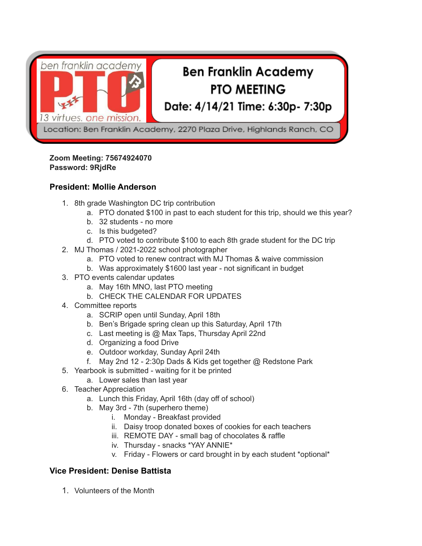

### **Zoom Meeting: 75674924070 Password: 9RjdRe**

# **President: Mollie Anderson**

- 1. 8th grade Washington DC trip contribution
	- a. PTO donated \$100 in past to each student for this trip, should we this year?
	- b. 32 students no more
	- c. Is this budgeted?
	- d. PTO voted to contribute \$100 to each 8th grade student for the DC trip
- 2. MJ Thomas / 2021-2022 school photographer
	- a. PTO voted to renew contract with MJ Thomas & waive commission
	- b. Was approximately \$1600 last year not significant in budget
- 3. PTO events calendar updates
	- a. May 16th MNO, last PTO meeting
	- b. CHECK THE CALENDAR FOR UPDATES
- 4. Committee reports
	- a. SCRIP open until Sunday, April 18th
	- b. Ben's Brigade spring clean up this Saturday, April 17th
	- c. Last meeting is @ Max Taps, Thursday April 22nd
	- d. Organizing a food Drive
	- e. Outdoor workday, Sunday April 24th
	- f. May 2nd 12 2:30p Dads & Kids get together @ Redstone Park
- 5. Yearbook is submitted waiting for it be printed
	- a. Lower sales than last year
- 6. Teacher Appreciation
	- a. Lunch this Friday, April 16th (day off of school)
	- b. May 3rd 7th (superhero theme)
		- i. Monday Breakfast provided
		- ii. Daisy troop donated boxes of cookies for each teachers
		- iii. REMOTE DAY small bag of chocolates & raffle
		- iv. Thursday snacks \*YAY ANNIE\*
		- v. Friday Flowers or card brought in by each student \*optional\*

# **Vice President: Denise Battista**

1. Volunteers of the Month